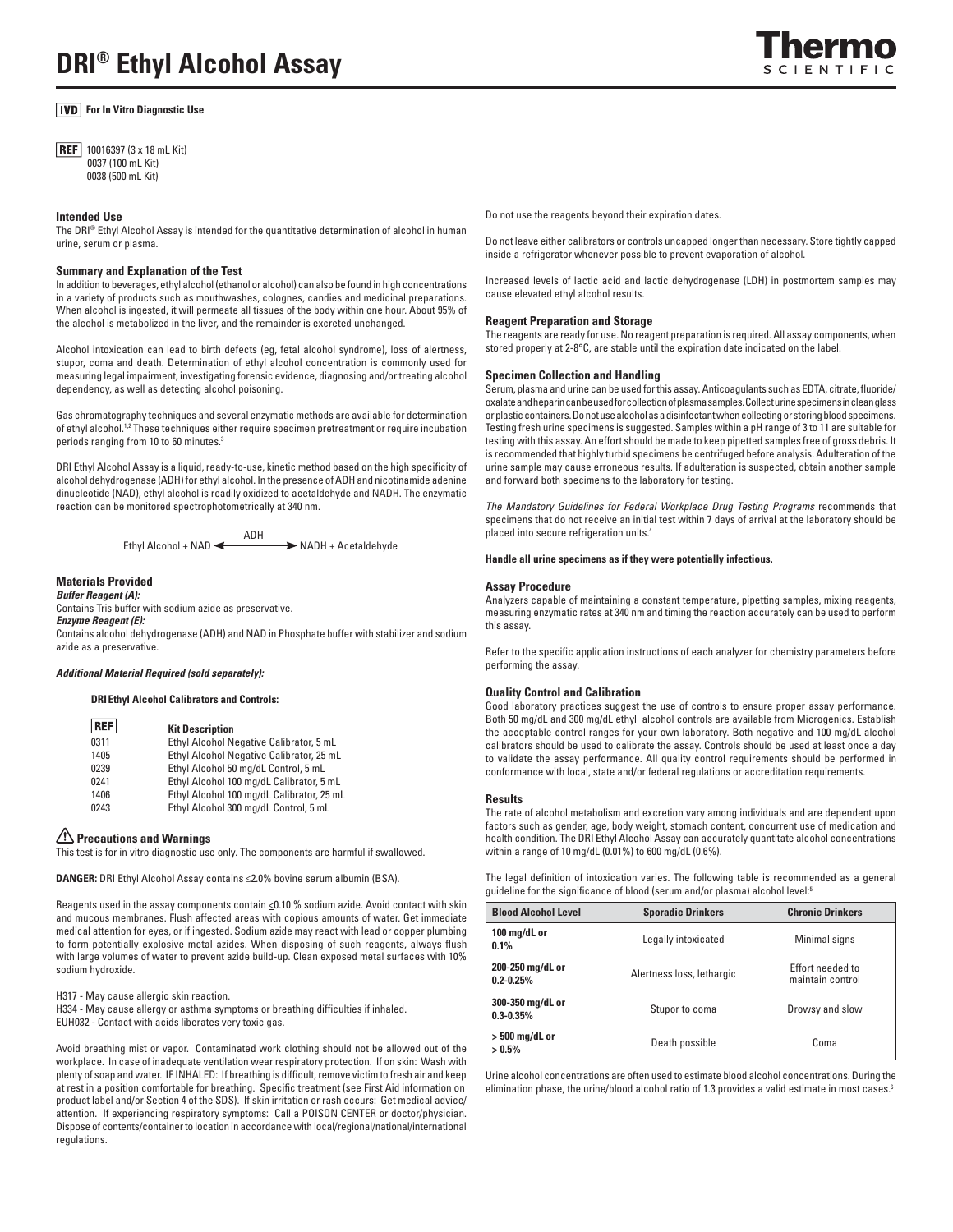# *<u>IVD</u>* For In Vitro Diagnostic Use

**REF** 10016397 (3 x 18 mL Kit) 0037 (100 mL Kit) 0038 (500 mL Kit)

### **Intended Use**

The DRI® Ethyl Alcohol Assay is intended for the quantitative determination of alcohol in human urine, serum or plasma.

## **Summary and Explanation of the Test**

In addition to beverages, ethyl alcohol (ethanol or alcohol) can also be found in high concentrations in a variety of products such as mouthwashes, colognes, candies and medicinal preparations. When alcohol is ingested, it will permeate all tissues of the body within one hour. About 95% of the alcohol is metabolized in the liver, and the remainder is excreted unchanged.

Alcohol intoxication can lead to birth defects (eg, fetal alcohol syndrome), loss of alertness, stupor, coma and death. Determination of ethyl alcohol concentration is commonly used for measuring legal impairment, investigating forensic evidence, diagnosing and/or treating alcohol dependency, as well as detecting alcohol poisoning.

Gas chromatography techniques and several enzymatic methods are available for determination of ethyl alcohol.<sup>1,2</sup> These techniques either require specimen pretreatment or require incubation periods ranging from 10 to 60 minutes.3

DRI Ethyl Alcohol Assay is a liquid, ready-to-use, kinetic method based on the high specificity of alcohol dehydrogenase (ADH) for ethyl alcohol. In the presence of ADH and nicotinamide adenine dinucleotide (NAD), ethyl alcohol is readily oxidized to acetaldehyde and NADH. The enzymatic reaction can be monitored spectrophotometrically at 340 nm.

> ADH Ethyl Alcohol + NAD  $\leftarrow$  NADH + Acetaldehyde

## **Materials Provided**

*Buffer Reagent (A):* 

Contains Tris buffer with sodium azide as preservative.

## *Enzyme Reagent (E):*

Contains alcohol dehydrogenase (ADH) and NAD in Phosphate buffer with stabilizer and sodium azide as a preservative.

## *Additional Material Required (sold separately):*

## **DRI Ethyl Alcohol Calibrators and Controls:**

| <b>REF</b> | <b>Kit Description</b>                    |
|------------|-------------------------------------------|
| 0311       | Ethyl Alcohol Negative Calibrator, 5 mL   |
| 1405       | Ethyl Alcohol Negative Calibrator, 25 mL  |
| 0239       | Ethyl Alcohol 50 mg/dL Control, 5 mL      |
| 0241       | Ethyl Alcohol 100 mg/dL Calibrator, 5 mL  |
| 1406       | Ethyl Alcohol 100 mg/dL Calibrator, 25 mL |
| 0243       | Ethyl Alcohol 300 mg/dL Control, 5 mL     |

# **Precautions and Warnings**

This test is for in vitro diagnostic use only. The components are harmful if swallowed.

DANGER: DRI Ethyl Alcohol Assay contains ≤2.0% bovine serum albumin (BSA).

Reagents used in the assay components contain <0.10 % sodium azide. Avoid contact with skin and mucous membranes. Flush affected areas with copious amounts of water. Get immediate medical attention for eyes, or if ingested. Sodium azide may react with lead or copper plumbing to form potentially explosive metal azides. When disposing of such reagents, always flush with large volumes of water to prevent azide build-up. Clean exposed metal surfaces with 10% sodium hydroxide.

H317 - May cause allergic skin reaction. H334 - May cause allergy or asthma symptoms or breathing difficulties if inhaled. EUH032 - Contact with acids liberates very toxic gas.

Avoid breathing mist or vapor. Contaminated work clothing should not be allowed out of the workplace. In case of inadequate ventilation wear respiratory protection. If on skin: Wash with plenty of soap and water. IF INHALED: If breathing is difficult, remove victim to fresh air and keep at rest in a position comfortable for breathing. Specific treatment (see First Aid information on product label and/or Section 4 of the SDS). If skin irritation or rash occurs: Get medical advice/ attention. If experiencing respiratory symptoms: Call a POISON CENTER or doctor/physician. Dispose of contents/container to location in accordance with local/regional/national/international regulations.

Do not use the reagents beyond their expiration dates.

Do not leave either calibrators or controls uncapped longer than necessary. Store tightly capped inside a refrigerator whenever possible to prevent evaporation of alcohol.

Increased levels of lactic acid and lactic dehydrogenase (LDH) in postmortem samples may cause elevated ethyl alcohol results.

#### **Reagent Preparation and Storage**

The reagents are ready for use. No reagent preparation is required. All assay components, when stored properly at 2-8°C, are stable until the expiration date indicated on the label.

## **Specimen Collection and Handling**

Serum, plasma and urine can be used for this assay. Anticoagulants such as EDTA, citrate, fluoride/ oxalate and heparin can be used for collection of plasma samples. Collect urine specimens in clean glass or plastic containers. Do not use alcohol as a disinfectant when collecting or storing blood specimens. Testing fresh urine specimens is suggested. Samples within a pH range of 3 to 11 are suitable for testing with this assay. An effort should be made to keep pipetted samples free of gross debris. It is recommended that highly turbid specimens be centrifuged before analysis. Adulteration of the urine sample may cause erroneous results. If adulteration is suspected, obtain another sample and forward both specimens to the laboratory for testing.

*The Mandatory Guidelines for Federal Workplace Drug Testing Programs* recommends that specimens that do not receive an initial test within 7 days of arrival at the laboratory should be placed into secure refrigeration units.4

### **Handle all urine specimens as if they were potentially infectious.**

#### **Assay Procedure**

Analyzers capable of maintaining a constant temperature, pipetting samples, mixing reagents, measuring enzymatic rates at 340 nm and timing the reaction accurately can be used to perform this assay.

Refer to the specific application instructions of each analyzer for chemistry parameters before performing the assay.

### **Quality Control and Calibration**

Good laboratory practices suggest the use of controls to ensure proper assay performance. Both 50 mg/dL and 300 mg/dL ethyl alcohol controls are available from Microgenics. Establish the acceptable control ranges for your own laboratory. Both negative and 100 mg/dL alcohol calibrators should be used to calibrate the assay. Controls should be used at least once a day to validate the assay performance. All quality control requirements should be performed in conformance with local, state and/or federal regulations or accreditation requirements.

### **Results**

The rate of alcohol metabolism and excretion vary among individuals and are dependent upon factors such as gender, age, body weight, stomach content, concurrent use of medication and health condition. The DRI Ethyl Alcohol Assay can accurately quantitate alcohol concentrations within a range of 10 mg/dL (0.01%) to 600 mg/dL (0.6%).

The legal definition of intoxication varies. The following table is recommended as a general guideline for the significance of blood (serum and/or plasma) alcohol level:5

| <b>Blood Alcohol Level</b>         | <b>Sporadic Drinkers</b>  | <b>Chronic Drinkers</b>              |
|------------------------------------|---------------------------|--------------------------------------|
| 100 mg/dL or<br>0.1%               | Legally intoxicated       | Minimal signs                        |
| 200-250 mg/dL or<br>$0.2 - 0.25%$  | Alertness loss, lethargic | Effort needed to<br>maintain control |
| 300-350 mg/dL or<br>$0.3 - 0.35\%$ | Stupor to coma            | Drowsy and slow                      |
| > 500 mg/dL or<br>$> 0.5\%$        | Death possible            | Coma                                 |

Urine alcohol concentrations are often used to estimate blood alcohol concentrations. During the elimination phase, the urine/blood alcohol ratio of 1.3 provides a valid estimate in most cases.<sup>6</sup>